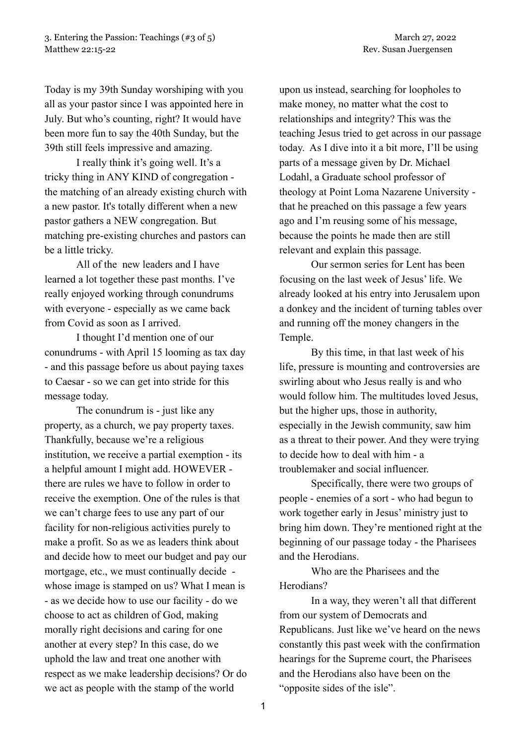Today is my 39th Sunday worshiping with you all as your pastor since I was appointed here in July. But who's counting, right? It would have been more fun to say the 40th Sunday, but the 39th still feels impressive and amazing.

I really think it's going well. It's a tricky thing in ANY KIND of congregation the matching of an already existing church with a new pastor. It's totally different when a new pastor gathers a NEW congregation. But matching pre-existing churches and pastors can be a little tricky.

All of the new leaders and I have learned a lot together these past months. I've really enjoyed working through conundrums with everyone - especially as we came back from Covid as soon as I arrived.

I thought I'd mention one of our conundrums - with April 15 looming as tax day - and this passage before us about paying taxes to Caesar - so we can get into stride for this message today.

The conundrum is - just like any property, as a church, we pay property taxes. Thankfully, because we're a religious institution, we receive a partial exemption - its a helpful amount I might add. HOWEVER there are rules we have to follow in order to receive the exemption. One of the rules is that we can't charge fees to use any part of our facility for non-religious activities purely to make a profit. So as we as leaders think about and decide how to meet our budget and pay our mortgage, etc., we must continually decide whose image is stamped on us? What I mean is - as we decide how to use our facility - do we choose to act as children of God, making morally right decisions and caring for one another at every step? In this case, do we uphold the law and treat one another with respect as we make leadership decisions? Or do we act as people with the stamp of the world

upon us instead, searching for loopholes to make money, no matter what the cost to relationships and integrity? This was the teaching Jesus tried to get across in our passage today. As I dive into it a bit more, I'll be using parts of a message given by Dr. Michael Lodahl, a Graduate school professor of theology at Point Loma Nazarene University that he preached on this passage a few years ago and I'm reusing some of his message, because the points he made then are still relevant and explain this passage.

Our sermon series for Lent has been focusing on the last week of Jesus' life. We already looked at his entry into Jerusalem upon a donkey and the incident of turning tables over and running off the money changers in the Temple.

By this time, in that last week of his life, pressure is mounting and controversies are swirling about who Jesus really is and who would follow him. The multitudes loved Jesus, but the higher ups, those in authority, especially in the Jewish community, saw him as a threat to their power. And they were trying to decide how to deal with him - a troublemaker and social influencer.

Specifically, there were two groups of people - enemies of a sort - who had begun to work together early in Jesus' ministry just to bring him down. They're mentioned right at the beginning of our passage today - the Pharisees and the Herodians.

Who are the Pharisees and the Herodians?

In a way, they weren't all that different from our system of Democrats and Republicans. Just like we've heard on the news constantly this past week with the confirmation hearings for the Supreme court, the Pharisees and the Herodians also have been on the "opposite sides of the isle".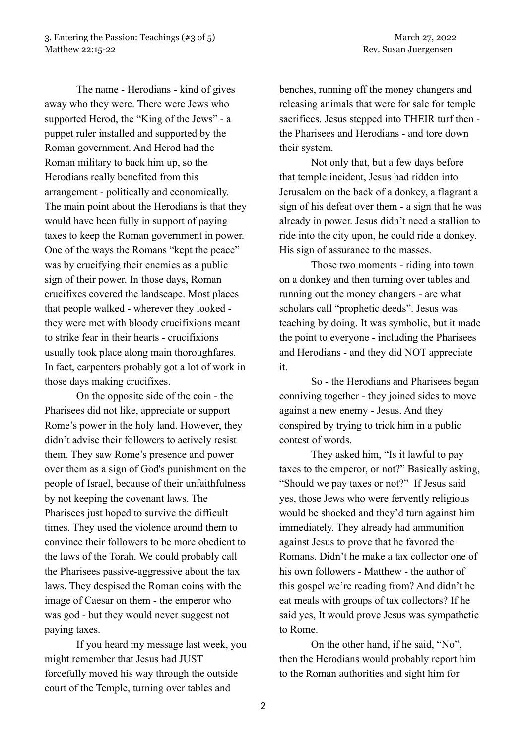The name - Herodians - kind of gives away who they were. There were Jews who supported Herod, the "King of the Jews" - a puppet ruler installed and supported by the Roman government. And Herod had the Roman military to back him up, so the Herodians really benefited from this arrangement - politically and economically. The main point about the Herodians is that they would have been fully in support of paying taxes to keep the Roman government in power. One of the ways the Romans "kept the peace" was by crucifying their enemies as a public sign of their power. In those days, Roman crucifixes covered the landscape. Most places that people walked - wherever they looked they were met with bloody crucifixions meant to strike fear in their hearts - crucifixions usually took place along main thoroughfares. In fact, carpenters probably got a lot of work in those days making crucifixes.

On the opposite side of the coin - the Pharisees did not like, appreciate or support Rome's power in the holy land. However, they didn't advise their followers to actively resist them. They saw Rome's presence and power over them as a sign of God's punishment on the people of Israel, because of their unfaithfulness by not keeping the covenant laws. The Pharisees just hoped to survive the difficult times. They used the violence around them to convince their followers to be more obedient to the laws of the Torah. We could probably call the Pharisees passive-aggressive about the tax laws. They despised the Roman coins with the image of Caesar on them - the emperor who was god - but they would never suggest not paying taxes.

If you heard my message last week, you might remember that Jesus had JUST forcefully moved his way through the outside court of the Temple, turning over tables and

benches, running off the money changers and releasing animals that were for sale for temple sacrifices. Jesus stepped into THEIR turf then the Pharisees and Herodians - and tore down their system.

Not only that, but a few days before that temple incident, Jesus had ridden into Jerusalem on the back of a donkey, a flagrant a sign of his defeat over them - a sign that he was already in power. Jesus didn't need a stallion to ride into the city upon, he could ride a donkey. His sign of assurance to the masses.

Those two moments - riding into town on a donkey and then turning over tables and running out the money changers - are what scholars call "prophetic deeds". Jesus was teaching by doing. It was symbolic, but it made the point to everyone - including the Pharisees and Herodians - and they did NOT appreciate it.

So - the Herodians and Pharisees began conniving together - they joined sides to move against a new enemy - Jesus. And they conspired by trying to trick him in a public contest of words.

They asked him, "Is it lawful to pay taxes to the emperor, or not?" Basically asking, "Should we pay taxes or not?" If Jesus said yes, those Jews who were fervently religious would be shocked and they'd turn against him immediately. They already had ammunition against Jesus to prove that he favored the Romans. Didn't he make a tax collector one of his own followers - Matthew - the author of this gospel we're reading from? And didn't he eat meals with groups of tax collectors? If he said yes, It would prove Jesus was sympathetic to Rome.

On the other hand, if he said, "No", then the Herodians would probably report him to the Roman authorities and sight him for